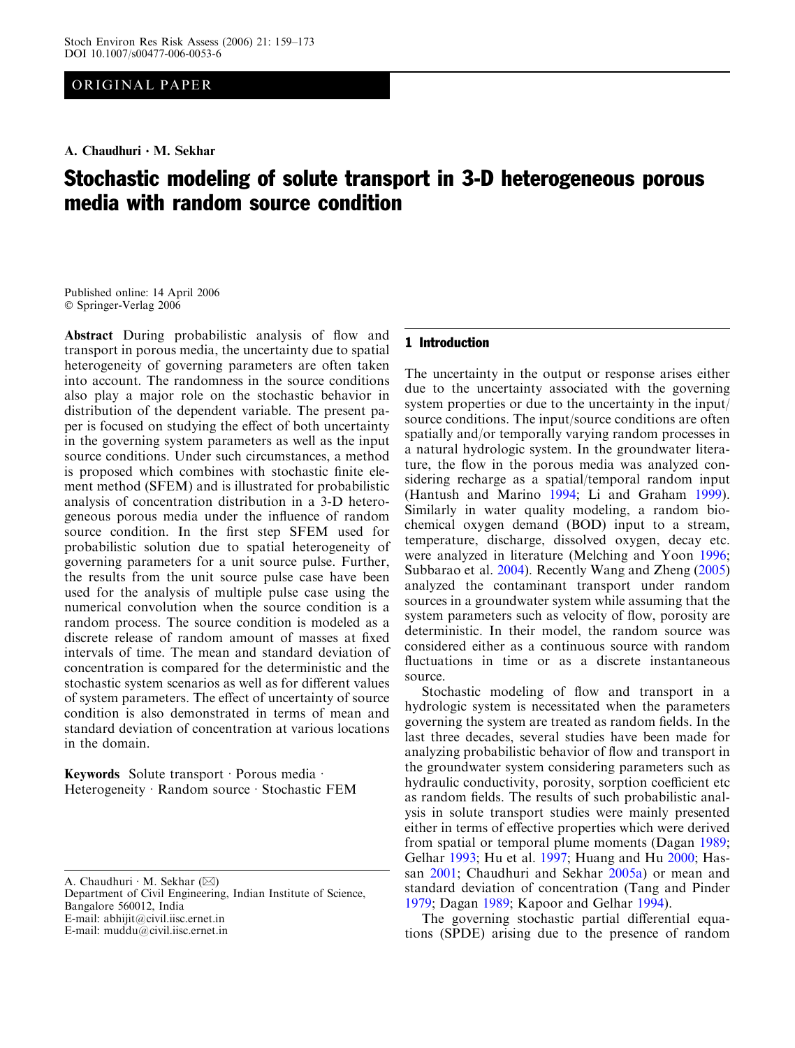## ORIGINAL PAPER

# Stochastic modeling of solute transport in 3-D heterogeneous porous media with random source condition

Published online: 14 April 2006 Springer-Verlag 2006

Abstract During probabilistic analysis of flow and transport in porous media, the uncertainty due to spatial heterogeneity of governing parameters are often taken into account. The randomness in the source conditions also play a major role on the stochastic behavior in distribution of the dependent variable. The present paper is focused on studying the effect of both uncertainty in the governing system parameters as well as the input source conditions. Under such circumstances, a method is proposed which combines with stochastic finite element method (SFEM) and is illustrated for probabilistic analysis of concentration distribution in a 3-D heterogeneous porous media under the influence of random source condition. In the first step SFEM used for probabilistic solution due to spatial heterogeneity of governing parameters for a unit source pulse. Further, the results from the unit source pulse case have been used for the analysis of multiple pulse case using the numerical convolution when the source condition is a random process. The source condition is modeled as a discrete release of random amount of masses at fixed intervals of time. The mean and standard deviation of concentration is compared for the deterministic and the stochastic system scenarios as well as for different values of system parameters. The effect of uncertainty of source condition is also demonstrated in terms of mean and standard deviation of concentration at various locations in the domain.

Keywords Solute transport  $\cdot$  Porous media  $\cdot$ Heterogeneity  $\cdot$  Random source  $\cdot$  Stochastic FEM

A. Chaudhuri  $\cdot$  M. Sekhar ( $\boxtimes$ )

Department of Civil Engineering, Indian Institute of Science, Bangalore 560012, India E-mail: abhijit@civil.iisc.ernet.in

E-mail: muddu@civil.iisc.ernet.in

#### 1 Introduction

The uncertainty in the output or response arises either due to the uncertainty associated with the governing system properties or due to the uncertainty in the input/ source conditions. The input/source conditions are often spatially and/or temporally varying random processes in a natural hydrologic system. In the groundwater literature, the flow in the porous media was analyzed considering recharge as a spatial/temporal random input (Hantush and Marino 1994; Li and Graham 1999). Similarly in water quality modeling, a random biochemical oxygen demand (BOD) input to a stream, temperature, discharge, dissolved oxygen, decay etc. were analyzed in literature (Melching and Yoon 1996; Subbarao et al. 2004). Recently Wang and Zheng (2005) analyzed the contaminant transport under random sources in a groundwater system while assuming that the system parameters such as velocity of flow, porosity are deterministic. In their model, the random source was considered either as a continuous source with random fluctuations in time or as a discrete instantaneous source.

Stochastic modeling of flow and transport in a hydrologic system is necessitated when the parameters governing the system are treated as random fields. In the last three decades, several studies have been made for analyzing probabilistic behavior of flow and transport in the groundwater system considering parameters such as hydraulic conductivity, porosity, sorption coefficient etc as random fields. The results of such probabilistic analysis in solute transport studies were mainly presented either in terms of effective properties which were derived from spatial or temporal plume moments (Dagan 1989; Gelhar 1993; Hu et al. 1997; Huang and Hu 2000; Hassan 2001; Chaudhuri and Sekhar 2005a) or mean and standard deviation of concentration (Tang and Pinder 1979; Dagan 1989; Kapoor and Gelhar 1994).

The governing stochastic partial differential equations (SPDE) arising due to the presence of random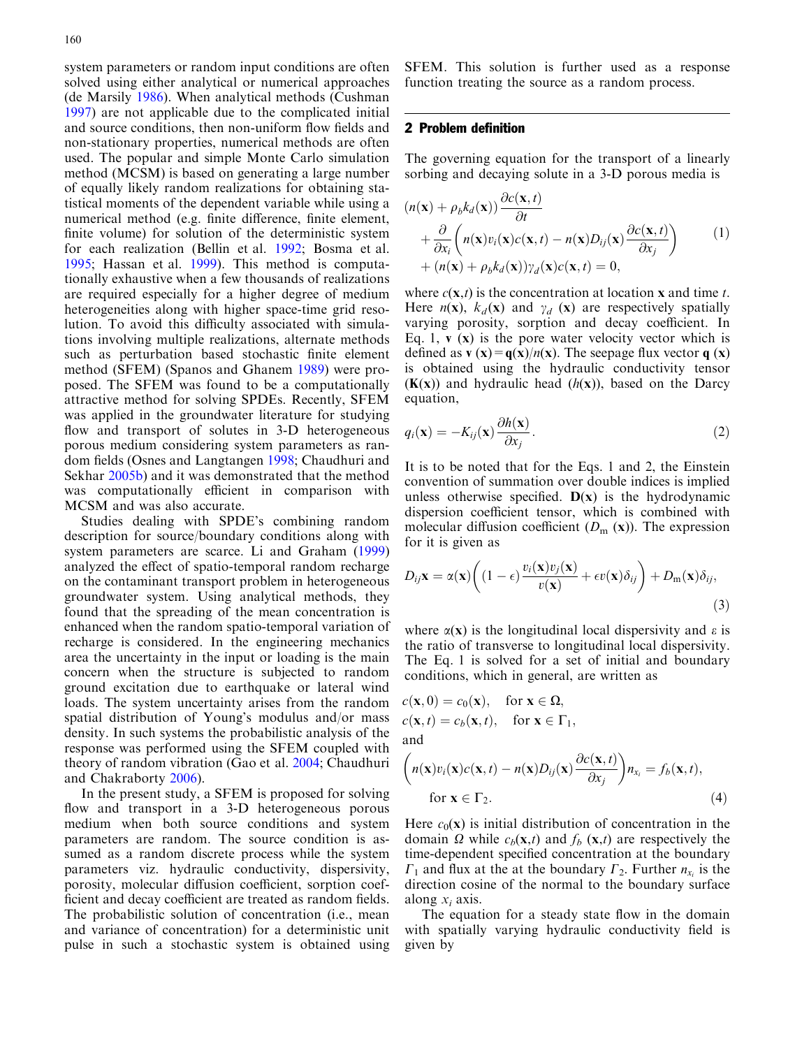system parameters or random input conditions are often solved using either analytical or numerical approaches (de Marsily 1986). When analytical methods (Cushman 1997) are not applicable due to the complicated initial and source conditions, then non-uniform flow fields and non-stationary properties, numerical methods are often used. The popular and simple Monte Carlo simulation method (MCSM) is based on generating a large number of equally likely random realizations for obtaining statistical moments of the dependent variable while using a numerical method (e.g. finite difference, finite element, finite volume) for solution of the deterministic system for each realization (Bellin et al. 1992; Bosma et al. 1995; Hassan et al. 1999). This method is computationally exhaustive when a few thousands of realizations are required especially for a higher degree of medium heterogeneities along with higher space-time grid resolution. To avoid this difficulty associated with simulations involving multiple realizations, alternate methods such as perturbation based stochastic finite element method (SFEM) (Spanos and Ghanem 1989) were proposed. The SFEM was found to be a computationally attractive method for solving SPDEs. Recently, SFEM was applied in the groundwater literature for studying flow and transport of solutes in 3-D heterogeneous porous medium considering system parameters as random fields (Osnes and Langtangen 1998; Chaudhuri and Sekhar 2005b) and it was demonstrated that the method was computationally efficient in comparison with MCSM and was also accurate.

Studies dealing with SPDE's combining random description for source/boundary conditions along with system parameters are scarce. Li and Graham (1999) analyzed the effect of spatio-temporal random recharge on the contaminant transport problem in heterogeneous groundwater system. Using analytical methods, they found that the spreading of the mean concentration is enhanced when the random spatio-temporal variation of recharge is considered. In the engineering mechanics area the uncertainty in the input or loading is the main concern when the structure is subjected to random ground excitation due to earthquake or lateral wind loads. The system uncertainty arises from the random spatial distribution of Young's modulus and/or mass density. In such systems the probabilistic analysis of the response was performed using the SFEM coupled with theory of random vibration (Gao et al. 2004; Chaudhuri and Chakraborty 2006).

In the present study, a SFEM is proposed for solving flow and transport in a 3-D heterogeneous porous medium when both source conditions and system parameters are random. The source condition is assumed as a random discrete process while the system parameters viz. hydraulic conductivity, dispersivity, porosity, molecular diffusion coefficient, sorption coefficient and decay coefficient are treated as random fields. The probabilistic solution of concentration (i.e., mean and variance of concentration) for a deterministic unit pulse in such a stochastic system is obtained using SFEM. This solution is further used as a response function treating the source as a random process.

## 2 Problem definition

The governing equation for the transport of a linearly sorbing and decaying solute in a 3-D porous media is

$$
(n(\mathbf{x}) + \rho_b k_d(\mathbf{x})) \frac{\partial c(\mathbf{x}, t)}{\partial t} + \frac{\partial}{\partial x_i} \left( n(\mathbf{x}) v_i(\mathbf{x}) c(\mathbf{x}, t) - n(\mathbf{x}) D_{ij}(\mathbf{x}) \frac{\partial c(\mathbf{x}, t)}{\partial x_j} \right) + (n(\mathbf{x}) + \rho_b k_d(\mathbf{x})) \gamma_d(\mathbf{x}) c(\mathbf{x}, t) = 0,
$$
 (1)

where  $c(\mathbf{x},t)$  is the concentration at location **x** and time t. Here  $n(\mathbf{x})$ ,  $k_d(\mathbf{x})$  and  $\gamma_d(\mathbf{x})$  are respectively spatially varying porosity, sorption and decay coefficient. In Eq. 1,  $\bf{v}$  ( $\bf{x}$ ) is the pore water velocity vector which is defined as  $\mathbf{v}(\mathbf{x}) = \mathbf{q}(\mathbf{x})/n(\mathbf{x})$ . The seepage flux vector  $\mathbf{q}(\mathbf{x})$ is obtained using the hydraulic conductivity tensor  $(K(x))$  and hydraulic head  $(h(x))$ , based on the Darcy equation,

$$
q_i(\mathbf{x}) = -K_{ij}(\mathbf{x}) \frac{\partial h(\mathbf{x})}{\partial x_j}.
$$
 (2)

It is to be noted that for the Eqs. 1 and 2, the Einstein convention of summation over double indices is implied unless otherwise specified.  $D(x)$  is the hydrodynamic dispersion coefficient tensor, which is combined with molecular diffusion coefficient  $(D_m(x))$ . The expression for it is given as

$$
D_{ij}\mathbf{x} = \alpha(\mathbf{x})\left((1-\epsilon)\frac{v_i(\mathbf{x})v_j(\mathbf{x})}{v(\mathbf{x})} + \epsilon v(\mathbf{x})\delta_{ij}\right) + D_m(\mathbf{x})\delta_{ij},\tag{3}
$$

where  $\alpha(x)$  is the longitudinal local dispersivity and  $\varepsilon$  is the ratio of transverse to longitudinal local dispersivity. The Eq. 1 is solved for a set of initial and boundary conditions, which in general, are written as

$$
c(\mathbf{x}, 0) = c_0(\mathbf{x}), \quad \text{for } \mathbf{x} \in \Omega,
$$
  
\n
$$
c(\mathbf{x}, t) = c_b(\mathbf{x}, t), \quad \text{for } \mathbf{x} \in \Gamma_1,
$$
  
\nand

$$
\left(n(\mathbf{x})v_i(\mathbf{x})c(\mathbf{x},t) - n(\mathbf{x})D_{ij}(\mathbf{x})\frac{\partial c(\mathbf{x},t)}{\partial x_j}\right) n_{x_i} = f_b(\mathbf{x},t),
$$
  
for  $\mathbf{x} \in \Gamma_2$ . (4)

Here  $c_0(\mathbf{x})$  is initial distribution of concentration in the domain  $\Omega$  while  $c_b(\mathbf{x},t)$  and  $f_b(\mathbf{x},t)$  are respectively the time-dependent specified concentration at the boundary  $\Gamma_1$  and flux at the at the boundary  $\Gamma_2$ . Further  $n_{x_i}$  is the direction cosine of the normal to the boundary surface along  $x_i$  axis.

The equation for a steady state flow in the domain with spatially varying hydraulic conductivity field is given by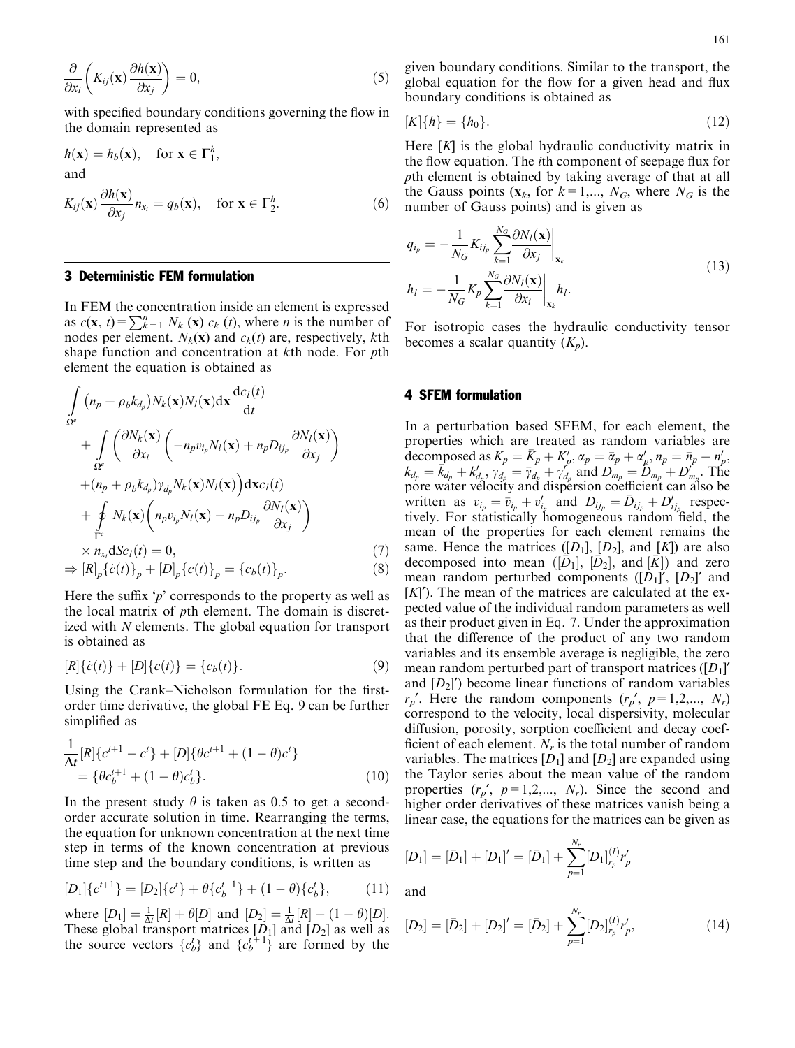$$
\frac{\partial}{\partial x_i} \left( K_{ij}(\mathbf{x}) \frac{\partial h(\mathbf{x})}{\partial x_j} \right) = 0, \tag{5}
$$

with specified boundary conditions governing the flow in the domain represented as

$$
h(\mathbf{x}) = h_b(\mathbf{x}), \quad \text{for } \mathbf{x} \in \Gamma_1^h,
$$
  
and  

$$
K_{ij}(\mathbf{x}) \frac{\partial h(\mathbf{x})}{\partial x_j} n_{x_i} = q_b(\mathbf{x}), \quad \text{for } \mathbf{x} \in \Gamma_2^h.
$$
 (6)

#### 3 Deterministic FEM formulation

In FEM the concentration inside an element is expressed as  $c(\mathbf{x}, t) = \sum_{k=1}^{n} N_k(\mathbf{x}) c_k(t)$ , where *n* is the number of nodes per element.  $N_k(\mathbf{x})$  and  $c_k(t)$  are, respectively, kth shape function and concentration at kth node. For pth element the equation is obtained as

$$
\int_{\Omega^c} (n_p + \rho_b k_{d_p}) N_k(\mathbf{x}) N_l(\mathbf{x}) d\mathbf{x} \frac{dc_l(t)}{dt} \n+ \int_{\Omega^c} \left( \frac{\partial N_k(\mathbf{x})}{\partial x_i} \left( -n_p v_{i_p} N_l(\mathbf{x}) + n_p D_{ij_p} \frac{\partial N_l(\mathbf{x})}{\partial x_j} \right) \right. \n+ (n_p + \rho_b k_{d_p}) \gamma_{d_p} N_k(\mathbf{x}) N_l(\mathbf{x}) d\mathbf{x} c_l(t) \n+ \oint_{\Gamma^c} N_k(\mathbf{x}) \left( n_p v_{i_p} N_l(\mathbf{x}) - n_p D_{ij_p} \frac{\partial N_l(\mathbf{x})}{\partial x_j} \right) \n\times n_{x_i} dSc_l(t) = 0,
$$
\n(7)

$$
\Rightarrow [R]_p \{ \dot{c}(t) \}_p + [D]_p \{ c(t) \}_p = \{ c_b(t) \}_p. \tag{8}
$$

Here the suffix  $\dot{p}$  corresponds to the property as well as the local matrix of pth element. The domain is discretized with N elements. The global equation for transport is obtained as

$$
[R]\{\dot{c}(t)\} + [D]\{c(t)\} = \{c_b(t)\}.
$$
\n(9)

Using the Crank–Nicholson formulation for the firstorder time derivative, the global FE Eq. 9 can be further simplified as

$$
\frac{1}{\Delta t}[R]\{c^{t+1} - c^t\} + [D]\{\theta c^{t+1} + (1 - \theta)c^t\} \n= \{\theta c_b^{t+1} + (1 - \theta)c_b^t\}.
$$
\n(10)

In the present study  $\theta$  is taken as 0.5 to get a secondorder accurate solution in time. Rearranging the terms, the equation for unknown concentration at the next time step in terms of the known concentration at previous time step and the boundary conditions, is written as

$$
[D_1]\{c^{t+1}\} = [D_2]\{c^t\} + \theta\{c_b^{t+1}\} + (1-\theta)\{c_b^t\},\tag{11}
$$

where  $[D_1] = \frac{1}{\Delta t} [R] + \theta [D]$  and  $[D_2] = \frac{1}{\Delta t} [R] - (1 - \theta) [D]$ . These global transport matrices  $[D_1]$  and  $[D_2]$  as well as the source vectors  $\{c_b^t\}$  and  $\{c_b^{t+1}\}$  are formed by the given boundary conditions. Similar to the transport, the global equation for the flow for a given head and flux boundary conditions is obtained as

$$
[K]\{h\} = \{h_0\}.\tag{12}
$$

Here  $[K]$  is the global hydraulic conductivity matrix in the flow equation. The ith component of seepage flux for pth element is obtained by taking average of that at all the Gauss points  $(x_k,$  for  $k=1,\dots, N_G$ , where  $N_G$  is the number of Gauss points) and is given as

$$
q_{i_p} = -\frac{1}{N_G} K_{ij_p} \sum_{k=1}^{N_G} \frac{\partial N_l(\mathbf{x})}{\partial x_j} \Big|_{\mathbf{x}_k}
$$
  
\n
$$
h_l = -\frac{1}{N_G} K_p \sum_{k=1}^{N_G} \frac{\partial N_l(\mathbf{x})}{\partial x_i} \Big|_{\mathbf{x}_k} h_l.
$$
\n(13)

For isotropic cases the hydraulic conductivity tensor becomes a scalar quantity  $(K_n)$ .

#### 4 SFEM formulation

In a perturbation based SFEM, for each element, the properties which are treated as random variables are decomposed as  $K_p = \overline{K}_p + K'_p$ ,  $\alpha_p = \overline{\alpha}_p + \alpha'_p$ ,  $n_p = \overline{n}_p + n'_p$ ,<br>  $k_{d_p} = \overline{k}_{d_p} + k'_{d_p}$ ,  $\gamma_{d_p} = \overline{\gamma}_{d_p} + \gamma'_{d_p}$  and  $D_{m_p} = D_{m_p} + D'_{m_p}$ . The pore water velocity and dispersion coefficient can also be written as  $v_{i_p} = \bar{v}_{i_p} + v'_{i_p}$  and  $D_{ij_p} = \bar{D}_{ij_p} + D'_{ij_p}$  respectively. For statistically homogeneous random field, the mean of the properties for each element remains the same. Hence the matrices  $([D_1], [D_2],$  and  $[K])$  are also decomposed into mean  $([\bar{D}_1], [\bar{D}_2],$  and  $[\bar{K}])$  and zero mean random perturbed components  $([D_1]^\prime, [D_2]^\prime$  and  $[K]'$ ). The mean of the matrices are calculated at the expected value of the individual random parameters as well as their product given in Eq. 7. Under the approximation that the difference of the product of any two random variables and its ensemble average is negligible, the zero mean random perturbed part of transport matrices  $([D_1]^{\prime}$ and  $[D_2]$ <sup>\*</sup>) become linear functions of random variables  $r_p'$ . Here the random components  $(r_p', p=1,2,..., N_r)$ correspond to the velocity, local dispersivity, molecular diffusion, porosity, sorption coefficient and decay coefficient of each element.  $N_r$  is the total number of random variables. The matrices  $[D_1]$  and  $[D_2]$  are expanded using the Taylor series about the mean value of the random properties  $(r_p, p=1,2,..., N_r)$ . Since the second and higher order derivatives of these matrices vanish being a linear case, the equations for the matrices can be given as

$$
[D_1] = [\bar{D}_1] + [D_1]' = [\bar{D}_1] + \sum_{p=1}^{N_r} [D_1]_{r_p}^{(l)} r'_p
$$

and

$$
[D_2] = [\bar{D}_2] + [D_2]' = [\bar{D}_2] + \sum_{p=1}^{N_r} [D_2]_{r_p}^{(l)} r'_p,
$$
\n(14)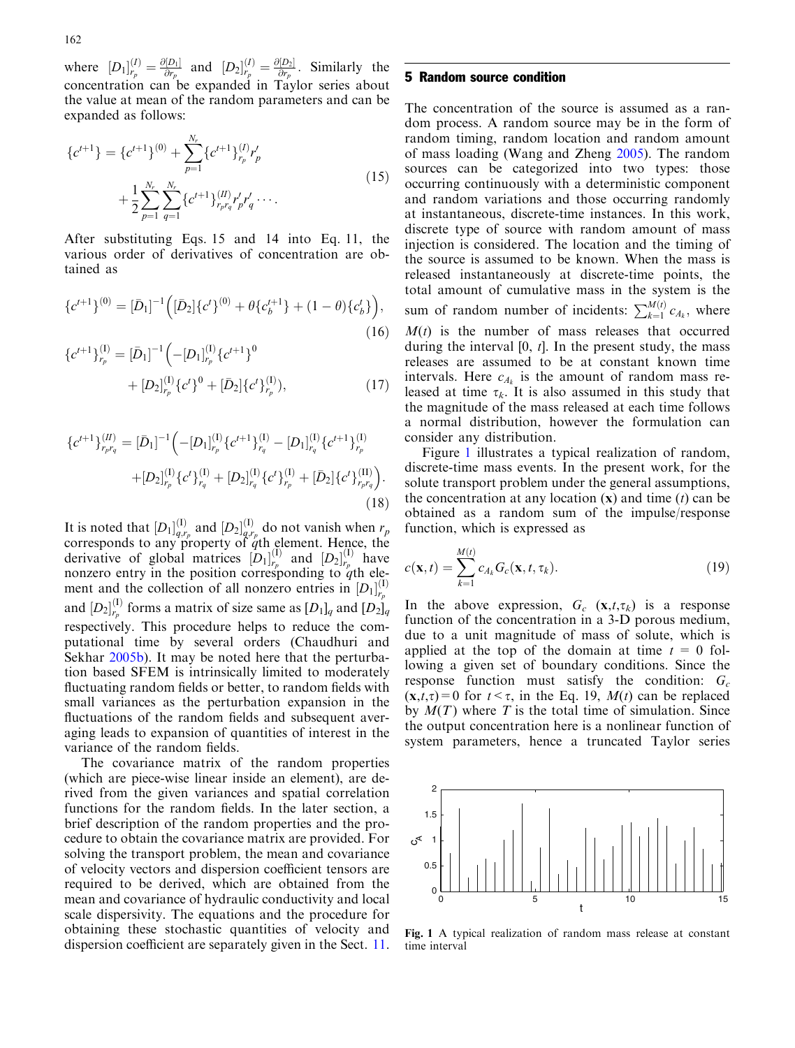where  $[D_1]_{r_p}^{(I)} = \frac{\partial [D_1]}{\partial r_p}$  $\frac{\partial |D_1|}{\partial r_p}$  and  $[D_2]_{r_p}^{(I)} = \frac{\partial |D_2|}{\partial r_p}$  $\frac{\partial P_2}{\partial r_p}$ . Similarly the concentration can be expanded in Taylor series about the value at mean of the random parameters and can be expanded as follows:

$$
\{c^{t+1}\} = \{c^{t+1}\}^{(0)} + \sum_{p=1}^{N_r} \{c^{t+1}\}_{r_p}^{(I)} r'_p
$$
  
+ 
$$
\frac{1}{2} \sum_{p=1}^{N_r} \sum_{q=1}^{N_r} \{c^{t+1}\}_{r_p r_q}^{(II)} r'_p r'_q \cdots
$$
 (15)

After substituting Eqs. 15 and 14 into Eq. 11, the various order of derivatives of concentration are obtained as

$$
\{c^{t+1}\}^{(0)} = [\bar{D}_1]^{-1} \Big( [\bar{D}_2] \{c^t\}^{(0)} + \theta \{c_b^{t+1}\} + (1 - \theta) \{c_b^t\} \Big),
$$
\n(16)

$$
\{c^{t+1}\}_{r_p}^{(I)} = [\bar{D}_1]^{-1} \left( -[D_1]_{r_p}^{(I)} \{c^{t+1}\}^0 + [D_2]_{r_p}^{(I)} \{c^t\}^0 + [\bar{D}_2] \{c^t\}_{r_p}^{(I)} \right),
$$
\n(17)

$$
\{c^{t+1}\}_{r_{p}r_{q}}^{(II)} = [\bar{D}_{1}]^{-1} \Big( -[D_{1}]_{r_{p}}^{(1)} \{c^{t+1}\}_{r_{q}}^{(1)} - [D_{1}]_{r_{q}}^{(1)} \{c^{t+1}\}_{r_{p}}^{(1)} + [D_{2}]_{r_{p}}^{(1)} \{c^{t}\}_{r_{q}}^{(1)} + [D_{2}]_{r_{q}}^{(1)} \{c^{t}\}_{r_{p}}^{(1)} + [\bar{D}_{2}] \{c^{t}\}_{r_{p}r_{q}}^{(1)} \Big).
$$
\n(18)

It is noted that  $[D_1]_{q,r_p}^{(1)}$  and  $[D_2]_{q,r_p}^{(1)}$  do not vanish when  $r_p$ corresponds to any property of  $q$ th element. Hence, the derivative of global matrices  $[D_1]_{r_p}^{(1)}$  and  $[D_2]_{r_p}^{(1)}$  have nonzero entry in the position corresponding to  $q$ th element and the collection of all nonzero entries in  $[D_1]_{r_p}^{(1)}$ and  $[D_2]_{r_p}^{(1)}$  forms a matrix of size same as  $[D_1]_q$  and  $[D_2]_q$ respectively. This procedure helps to reduce the computational time by several orders (Chaudhuri and Sekhar 2005b). It may be noted here that the perturbation based SFEM is intrinsically limited to moderately fluctuating random fields or better, to random fields with small variances as the perturbation expansion in the fluctuations of the random fields and subsequent averaging leads to expansion of quantities of interest in the variance of the random fields.

The covariance matrix of the random properties (which are piece-wise linear inside an element), are derived from the given variances and spatial correlation functions for the random fields. In the later section, a brief description of the random properties and the procedure to obtain the covariance matrix are provided. For solving the transport problem, the mean and covariance of velocity vectors and dispersion coefficient tensors are required to be derived, which are obtained from the mean and covariance of hydraulic conductivity and local scale dispersivity. The equations and the procedure for obtaining these stochastic quantities of velocity and dispersion coefficient are separately given in the Sect. 11.

#### 5 Random source condition

The concentration of the source is assumed as a random process. A random source may be in the form of random timing, random location and random amount of mass loading (Wang and Zheng 2005). The random sources can be categorized into two types: those occurring continuously with a deterministic component and random variations and those occurring randomly at instantaneous, discrete-time instances. In this work, discrete type of source with random amount of mass injection is considered. The location and the timing of the source is assumed to be known. When the mass is released instantaneously at discrete-time points, the total amount of cumulative mass in the system is the sum of random number of incidents:  $\sum_{k=1}^{M(t)} c_{A_k}$ , where  $M(t)$  is the number of mass releases that occurred during the interval  $[0, t]$ . In the present study, the mass releases are assumed to be at constant known time intervals. Here  $c_{A_k}$  is the amount of random mass released at time  $\tau_k$ . It is also assumed in this study that the magnitude of the mass released at each time follows a normal distribution, however the formulation can consider any distribution.

Figure 1 illustrates a typical realization of random, discrete-time mass events. In the present work, for the solute transport problem under the general assumptions, the concentration at any location  $(x)$  and time  $(t)$  can be obtained as a random sum of the impulse/response function, which is expressed as

$$
c(\mathbf{x},t) = \sum_{k=1}^{M(t)} c_{A_k} G_c(\mathbf{x},t,\tau_k).
$$
 (19)

In the above expression,  $G_c$  (**x**,*t*, $\tau_k$ ) is a response function of the concentration in a 3-D porous medium, due to a unit magnitude of mass of solute, which is applied at the top of the domain at time  $t = 0$  following a given set of boundary conditions. Since the response function must satisfy the condition:  $G_c$  $(x,t,\tau)=0$  for  $t \leq \tau$ , in the Eq. 19,  $M(t)$  can be replaced by  $M(T)$  where T is the total time of simulation. Since the output concentration here is a nonlinear function of system parameters, hence a truncated Taylor series



Fig. 1 A typical realization of random mass release at constant time interval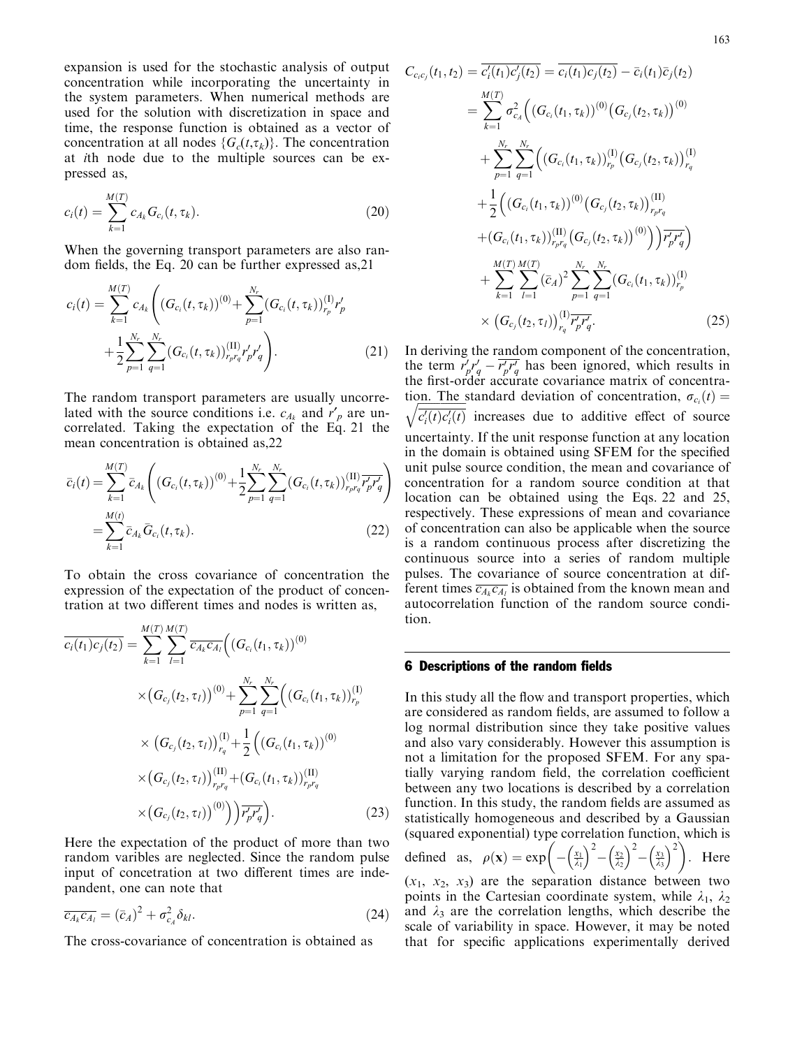expansion is used for the stochastic analysis of output concentration while incorporating the uncertainty in the system parameters. When numerical methods are used for the solution with discretization in space and time, the response function is obtained as a vector of concentration at all nodes  $\{G_c(t,\tau_k)\}\)$ . The concentration at ith node due to the multiple sources can be expressed as,

$$
c_i(t) = \sum_{k=1}^{M(T)} c_{A_k} G_{c_i}(t, \tau_k).
$$
 (20)

When the governing transport parameters are also random fields, the Eq. 20 can be further expressed as,21

$$
c_i(t) = \sum_{k=1}^{M(T)} c_{A_k} \Biggl( (G_{c_i}(t, \tau_k))^{(0)} + \sum_{p=1}^{N_r} (G_{c_i}(t, \tau_k))_{r_p}^{(1)} r'_p + \frac{1}{2} \sum_{p=1}^{N_r} \sum_{q=1}^{N_r} (G_{c_i}(t, \tau_k))_{r_p r_q}^{(1)} r'_p r'_q \Biggr).
$$
 (21)

The random transport parameters are usually uncorrelated with the source conditions i.e.  $c_{A_k}$  and  $r'_p$  are uncorrelated. Taking the expectation of the Eq. 21 the mean concentration is obtained as,22

$$
\bar{c}_{i}(t) = \sum_{k=1}^{M(T)} \bar{c}_{A_{k}} \left( (G_{c_{i}}(t, \tau_{k}))^{(0)} + \frac{1}{2} \sum_{p=1}^{N_{r}} \sum_{q=1}^{N_{r}} (G_{c_{i}}(t, \tau_{k}))_{r_{p}r_{q}}^{(II)} \overline{r'_{p}r'_{q}} \right)
$$
\n
$$
= \sum_{k=1}^{M(t)} \bar{c}_{A_{k}} \bar{G}_{c_{i}}(t, \tau_{k}).
$$
\n(22)

To obtain the cross covariance of concentration the expression of the expectation of the product of concentration at two different times and nodes is written as,

$$
\overline{c_i(t_1)c_j(t_2)} = \sum_{k=1}^{M(T)} \sum_{l=1}^{M(T)} \overline{c_{A_k}c_{A_l}} \Big( (G_{c_i}(t_1, \tau_k))^{(0)} \times (G_{c_j}(t_2, \tau_l))^{(0)} + \sum_{p=1}^{N_r} \sum_{q=1}^{N_r} \Big( (G_{c_i}(t_1, \tau_k))_{r_p}^{(1)} \times (G_{c_j}(t_2, \tau_l))_{r_q}^{(1)} + \frac{1}{2} \Big( (G_{c_i}(t_1, \tau_k))^{(0)} \times (G_{c_j}(t_2, \tau_l))_{r_p r_q}^{(11)} + (G_{c_i}(t_1, \tau_k))_{r_p r_q}^{(11)} \times (G_{c_j}(t_2, \tau_l))^{(0)} \Big) \overline{r'_p r'_q} \Big).
$$
\n(23)

Here the expectation of the product of more than two random varibles are neglected. Since the random pulse input of concetration at two different times are indepandent, one can note that

$$
\overline{c_{A_k}c_{A_l}} = (\overline{c}_A)^2 + \sigma_{c_A}^2 \delta_{kl}.
$$

The cross-covariance of concentration is obtained as

163

$$
C_{c_ic_j}(t_1, t_2) = \overline{c_i'(t_1)c_j'(t_2)} = \overline{c_i(t_1)c_j(t_2)} - \overline{c_i(t_1)}\overline{c_j(t_2)}
$$
  
\n
$$
= \sum_{k=1}^{M(T)} \sigma_{c_A}^2 \Big( (G_{c_i}(t_1, \tau_k))^{(0)} (G_{c_j}(t_2, \tau_k))^{(0)}
$$
  
\n
$$
+ \sum_{p=1}^{N_r} \sum_{q=1}^{N_r} \Big( (G_{c_i}(t_1, \tau_k))_{r_p}^{(1)} (G_{c_j}(t_2, \tau_k))_{r_q}^{(1)}
$$
  
\n
$$
+ \frac{1}{2} \Big( (G_{c_i}(t_1, \tau_k))^{(0)} (G_{c_j}(t_2, \tau_k))_{r_p r_q}^{(II)}
$$
  
\n
$$
+ (G_{c_i}(t_1, \tau_k))_{r_p r_q}^{(II)} (G_{c_j}(t_2, \tau_k))^{(0)} \Big) \Big) \overline{r'_p r'_q} \Big)
$$
  
\n
$$
+ \sum_{k=1}^{M(T)} \sum_{l=1}^{M(T)} (\overline{c}_A)^2 \sum_{p=1}^{N_r} \sum_{q=1}^{N_r} (G_{c_i}(t_1, \tau_k))_{r_p}^{(1)}
$$
  
\n
$$
\times (G_{c_j}(t_2, \tau_l))_{r_q}^{(1)} \overline{r'_p r'_q}.
$$
 (25)

In deriving the random component of the concentration, the term  $r'_p r'_q - \overline{r'_p r'_q}$  has been ignored, which results in the first-order accurate covariance matrix of concentration. The standard deviation of concentration,  $\sigma_{c_i}(t) = \sqrt{c'(t)c'(t)}$  increases due to additive effect of source  $\sqrt{c_i'(t)c_i'(t)}$  increases due to additive effect of source uncertainty. If the unit response function at any location in the domain is obtained using SFEM for the specified unit pulse source condition, the mean and covariance of concentration for a random source condition at that location can be obtained using the Eqs. 22 and 25, respectively. These expressions of mean and covariance of concentration can also be applicable when the source is a random continuous process after discretizing the continuous source into a series of random multiple pulses. The covariance of source concentration at different times  $\overline{c_{A_k}c_{A_l}}$  is obtained from the known mean and autocorrelation function of the random source condition.

#### 6 Descriptions of the random fields

In this study all the flow and transport properties, which are considered as random fields, are assumed to follow a log normal distribution since they take positive values and also vary considerably. However this assumption is not a limitation for the proposed SFEM. For any spatially varying random field, the correlation coefficient between any two locations is described by a correlation function. In this study, the random fields are assumed as statistically homogeneous and described by a Gaussian (squared exponential) type correlation function, which is defined as,  $\rho(\mathbf{x}) = \exp\left(-\left(\frac{x_1}{\lambda_1}\right)^2 - \left(\frac{x_2}{\lambda_2}\right)^2 - \left(\frac{x_3}{\lambda_3}\right)^2\right)$ . Here  $(x_1, x_2, x_3)$  are the separation distance between two points in the Cartesian coordinate system, while  $\lambda_1$ ,  $\lambda_2$ and  $\lambda_3$  are the correlation lengths, which describe the scale of variability in space. However, it may be noted that for specific applications experimentally derived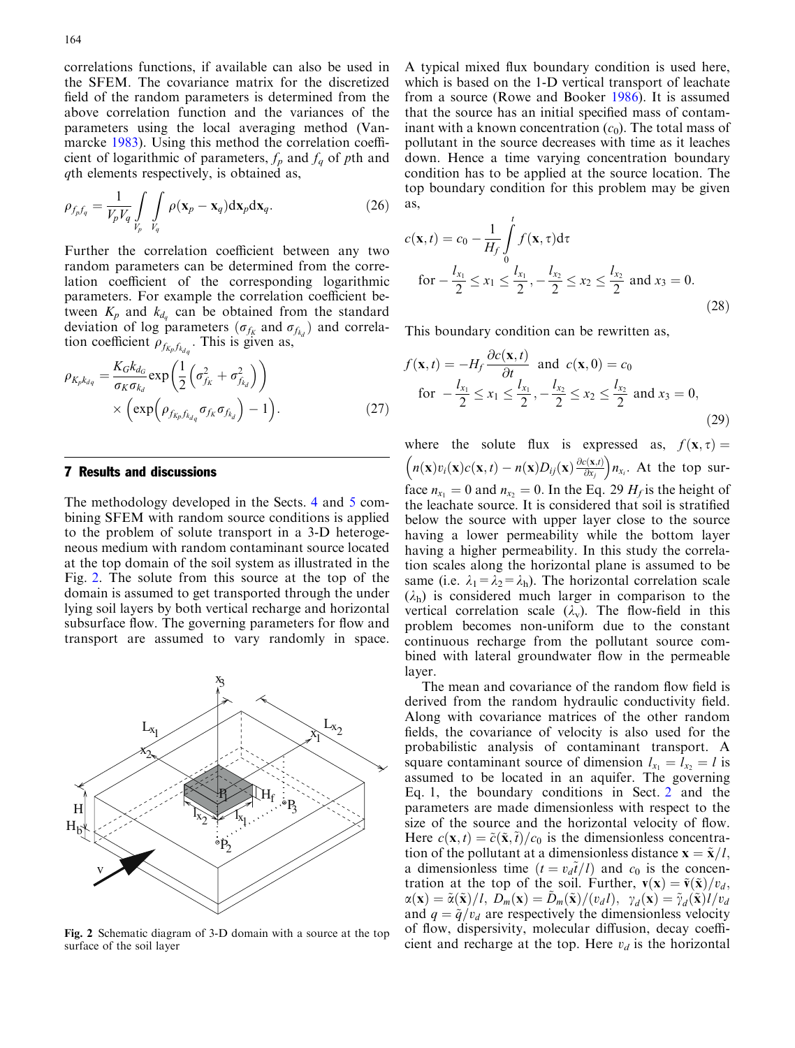correlations functions, if available can also be used in the SFEM. The covariance matrix for the discretized field of the random parameters is determined from the above correlation function and the variances of the parameters using the local averaging method (Vanmarcke 1983). Using this method the correlation coefficient of logarithmic of parameters,  $f_p$  and  $f_q$  of pth and qth elements respectively, is obtained as,

$$
\rho_{f_p f_q} = \frac{1}{V_p V_q} \int\limits_{V_p} \int\limits_{V_q} \rho(\mathbf{x}_p - \mathbf{x}_q) d\mathbf{x}_p d\mathbf{x}_q. \tag{26}
$$

Further the correlation coefficient between any two random parameters can be determined from the correlation coefficient of the corresponding logarithmic parameters. For example the correlation coefficient between  $K_p$  and  $k_{d_q}$  can be obtained from the standard deviation of log parameters ( $\sigma_{f_k}$  and  $\sigma_{f_{k_d}}$ ) and correlation coefficient  $\rho_{f_{K_p}f_{k_{d_q}}}$ . This is given as,

$$
\rho_{K_p k_{dq}} = \frac{K_G k_{d_G}}{\sigma_K \sigma_{k_d}} \exp\left(\frac{1}{2} \left(\sigma_{f_K}^2 + \sigma_{f_{k_d}}^2\right)\right) \times \left(\exp\left(\rho_{f_{k_p} f_{k_{dq}}} \sigma_{f_K} \sigma_{f_{k_d}}\right) - 1\right).
$$
\n(27)

## 7 Results and discussions

The methodology developed in the Sects. 4 and 5 combining SFEM with random source conditions is applied to the problem of solute transport in a 3-D heterogeneous medium with random contaminant source located at the top domain of the soil system as illustrated in the Fig. 2. The solute from this source at the top of the domain is assumed to get transported through the under lying soil layers by both vertical recharge and horizontal subsurface flow. The governing parameters for flow and transport are assumed to vary randomly in space.



Fig. 2 Schematic diagram of 3-D domain with a source at the top surface of the soil layer

A typical mixed flux boundary condition is used here, which is based on the 1-D vertical transport of leachate from a source (Rowe and Booker 1986). It is assumed that the source has an initial specified mass of contaminant with a known concentration  $(c_0)$ . The total mass of pollutant in the source decreases with time as it leaches down. Hence a time varying concentration boundary condition has to be applied at the source location. The top boundary condition for this problem may be given as,

$$
c(\mathbf{x}, t) = c_0 - \frac{1}{H_f} \int_0^t f(\mathbf{x}, \tau) d\tau
$$
  
for  $-\frac{l_{x_1}}{2} \le x_1 \le \frac{l_{x_1}}{2}, -\frac{l_{x_2}}{2} \le x_2 \le \frac{l_{x_2}}{2}$  and  $x_3 = 0$ . (28)

This boundary condition can be rewritten as,

$$
f(\mathbf{x}, t) = -H_f \frac{\partial c(\mathbf{x}, t)}{\partial t} \text{ and } c(\mathbf{x}, 0) = c_0
$$
  
for  $-\frac{l_{x_1}}{2} \le x_1 \le \frac{l_{x_1}}{2}, -\frac{l_{x_2}}{2} \le x_2 \le \frac{l_{x_2}}{2} \text{ and } x_3 = 0,$  (29)

where the solute flux is expressed as,  $f(\mathbf{x}, \tau) =$  $n(\mathbf{x})v_i(\mathbf{x})c(\mathbf{x},t) - n(\mathbf{x})D_{ij}(\mathbf{x})\frac{\partial c(\mathbf{x},t)}{\partial x_i}$  $\left(n(\mathbf{x})v_i(\mathbf{x})c(\mathbf{x},t) - n(\mathbf{x})D_{ij}(\mathbf{x})\frac{\partial c(\mathbf{x},t)}{\partial x_j}\right) n_{x_i}$ . At the top surface  $n_{x_1} = 0$  and  $n_{x_2} = 0$ . In the Eq. 29  $H_f$  is the height of the leachate source. It is considered that soil is stratified below the source with upper layer close to the source having a lower permeability while the bottom layer having a higher permeability. In this study the correlation scales along the horizontal plane is assumed to be same (i.e.  $\lambda_1 = \lambda_2 = \lambda_h$ ). The horizontal correlation scale  $(\lambda_h)$  is considered much larger in comparison to the vertical correlation scale  $(\lambda_v)$ . The flow-field in this problem becomes non-uniform due to the constant continuous recharge from the pollutant source combined with lateral groundwater flow in the permeable layer.

The mean and covariance of the random flow field is derived from the random hydraulic conductivity field. Along with covariance matrices of the other random fields, the covariance of velocity is also used for the probabilistic analysis of contaminant transport. A square contaminant source of dimension  $l_{x_1} = l_{x_2} = l$  is assumed to be located in an aquifer. The governing Eq. 1, the boundary conditions in Sect. 2 and the parameters are made dimensionless with respect to the size of the source and the horizontal velocity of flow. Here  $c(\mathbf{x}, t) = \tilde{c}(\tilde{\mathbf{x}}, \tilde{t})/c_0$  is the dimensionless concentration of the pollutant at a dimensionless distance  $\mathbf{x} = \tilde{\mathbf{x}}/l$ , a dimensionless time  $(t = v_d \tilde{t}/l)$  and  $c_0$  is the concentration at the top of the soil. Further,  $\mathbf{v}(\mathbf{x}) = \tilde{\mathbf{v}}(\tilde{\mathbf{x}})/v_d$ ,  $\alpha(\mathbf{x}) = \tilde{\alpha}(\tilde{\mathbf{x}})/l$ ,  $D_m(\mathbf{x}) = \tilde{D}_m(\tilde{\mathbf{x}})/(\nu_d l)$ ,  $\gamma_d(\mathbf{x}) = \tilde{\gamma}_d(\tilde{\mathbf{x}})l/\nu_d$ and  $q = \tilde{q}/v_d$  are respectively the dimensionless velocity of flow, dispersivity, molecular diffusion, decay coefficient and recharge at the top. Here  $v_d$  is the horizontal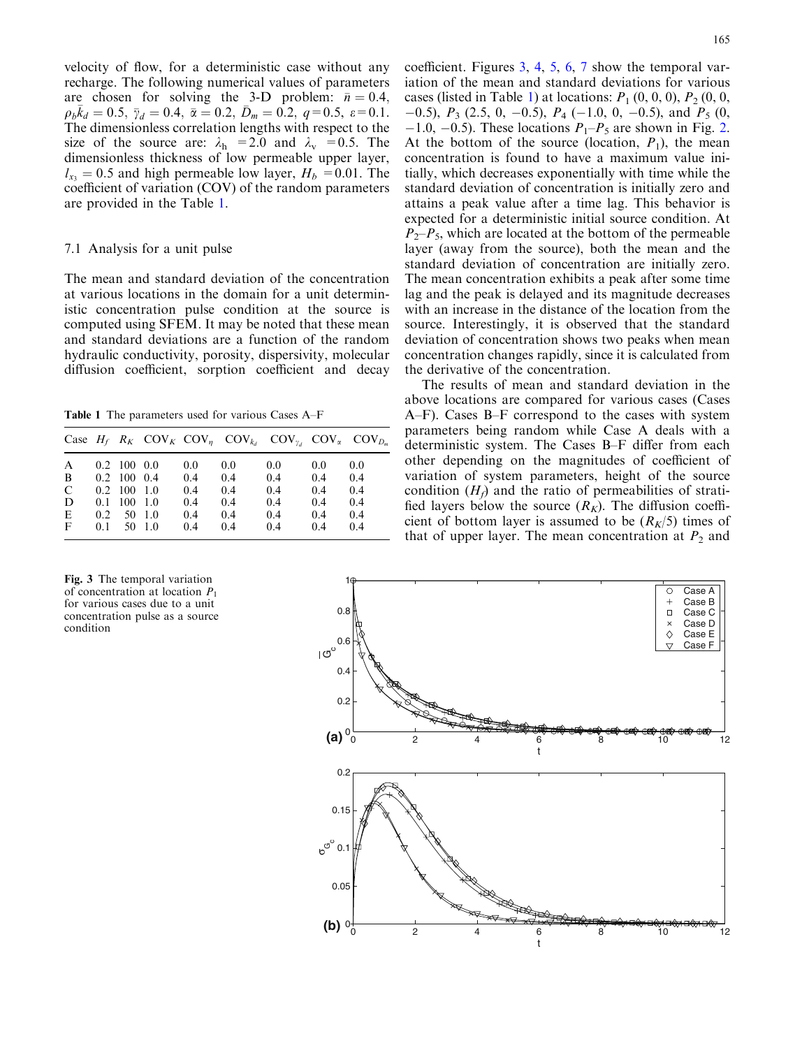velocity of flow, for a deterministic case without any recharge. The following numerical values of parameters are chosen for solving the 3-D problem:  $\bar{n} = 0.4$ ,  $\rho_b \bar{k}_d = 0.5$ ,  $\bar{\gamma}_d = 0.4$ ,  $\bar{\alpha} = 0.2$ ,  $\bar{D}_m = 0.2$ ,  $q = 0.5$ ,  $\varepsilon = 0.1$ . The dimensionless correlation lengths with respect to the size of the source are:  $\lambda_h$  = 2.0 and  $\lambda_v$  = 0.5. The dimensionless thickness of low permeable upper layer,  $l_{x_3} = 0.5$  and high permeable low layer,  $H_b = 0.01$ . The coefficient of variation (COV) of the random parameters are provided in the Table 1.

#### 7.1 Analysis for a unit pulse

The mean and standard deviation of the concentration at various locations in the domain for a unit deterministic concentration pulse condition at the source is computed using SFEM. It may be noted that these mean and standard deviations are a function of the random hydraulic conductivity, porosity, dispersivity, molecular diffusion coefficient, sorption coefficient and decay

Table 1 The parameters used for various Cases A–F

|             |     |                           |        |               |     | Case $H_f$ $R_K$ COV <sub>K</sub> COV <sub>n</sub> COV <sub>ka</sub> COV <sub>Na</sub> COV <sub>N</sub> COV <sub>D<sub>m</sub></sub> |     |     |
|-------------|-----|---------------------------|--------|---------------|-----|--------------------------------------------------------------------------------------------------------------------------------------|-----|-----|
| A           |     | $0.2 \quad 100 \quad 0.0$ |        | $0.0^{\circ}$ | 0.0 | 0.0                                                                                                                                  | 0.0 | 0.0 |
| -B          |     | $0.2 \quad 100 \quad 0.4$ |        | 0.4           | 0.4 | 0.4                                                                                                                                  | 0.4 | 0.4 |
| $\mathbf C$ |     | $0.2 \quad 100 \quad 1.0$ |        | 0.4           | 0.4 | 0.4                                                                                                                                  | 0.4 | 0.4 |
| D           |     | $0.1$ 100 1.0             |        | 0.4           | 0.4 | 0.4                                                                                                                                  | 0.4 | 0.4 |
| E           |     | $0.2 \quad 50 \quad 1.0$  |        | 0.4           | 0.4 | 0.4                                                                                                                                  | 0.4 | 0.4 |
| $\mathbf F$ | 0.1 |                           | 50 1.0 | 0.4           | 0.4 | 0.4                                                                                                                                  | 0.4 | 0.4 |

Fig. 3 The temporal variation of concentration at location  $P_1$ for various cases due to a unit concentration pulse as a source condition

coefficient. Figures 3, 4, 5, 6, 7 show the temporal variation of the mean and standard deviations for various cases (listed in Table 1) at locations:  $P_1$  (0, 0, 0),  $P_2$  (0, 0,  $-0.5$ ),  $P_3$  (2.5, 0,  $-0.5$ ),  $P_4$  ( $-1.0$ , 0,  $-0.5$ ), and  $P_5$  (0,  $-1.0$ ,  $-0.5$ ). These locations  $P_1-P_5$  are shown in Fig. 2. At the bottom of the source (location,  $P_1$ ), the mean concentration is found to have a maximum value initially, which decreases exponentially with time while the standard deviation of concentration is initially zero and attains a peak value after a time lag. This behavior is expected for a deterministic initial source condition. At  $P_2-P_5$ , which are located at the bottom of the permeable layer (away from the source), both the mean and the standard deviation of concentration are initially zero. The mean concentration exhibits a peak after some time lag and the peak is delayed and its magnitude decreases with an increase in the distance of the location from the source. Interestingly, it is observed that the standard deviation of concentration shows two peaks when mean concentration changes rapidly, since it is calculated from the derivative of the concentration.

The results of mean and standard deviation in the above locations are compared for various cases (Cases A–F). Cases B–F correspond to the cases with system parameters being random while Case A deals with a deterministic system. The Cases B–F differ from each other depending on the magnitudes of coefficient of variation of system parameters, height of the source condition  $(H_f)$  and the ratio of permeabilities of stratified layers below the source  $(R_K)$ . The diffusion coefficient of bottom layer is assumed to be  $(R_K/5)$  times of that of upper layer. The mean concentration at  $P_2$  and

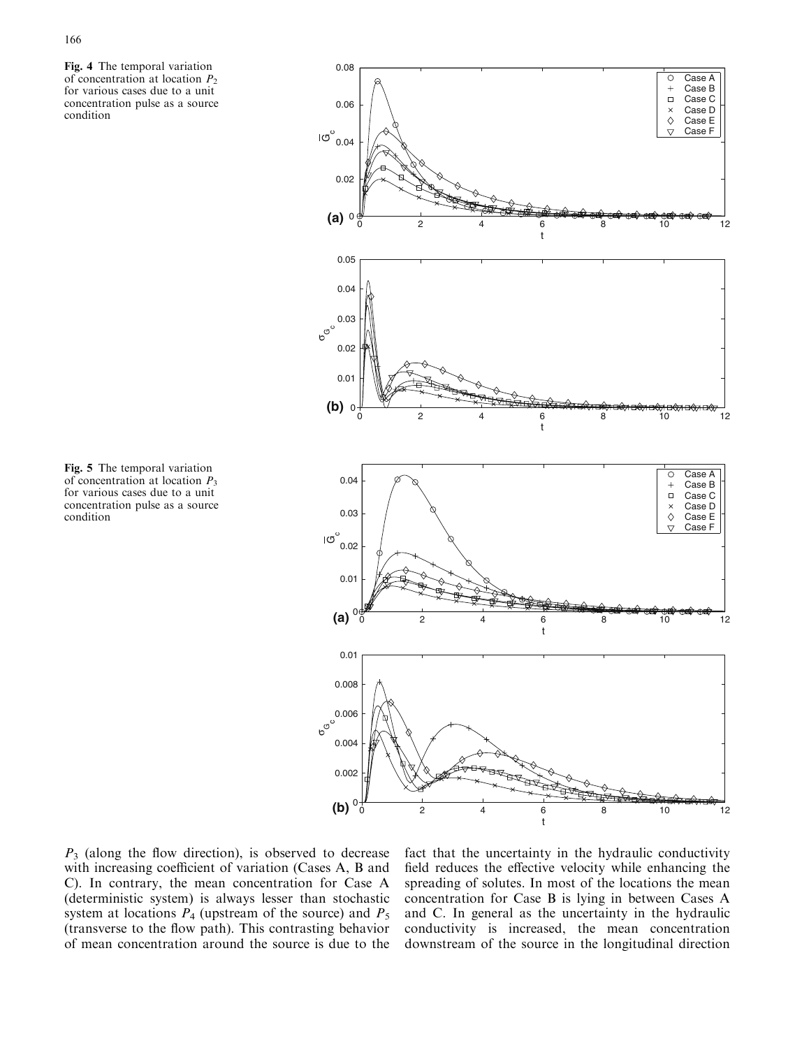Fig. 4 The temporal variation of concentration at location  $P_2$ for various cases due to a unit concentration pulse as a source condition

Fig. 5 The temporal variation of concentration at location  $P_3$ for various cases due to a unit concentration pulse as a source condition



 $P_3$  (along the flow direction), is observed to decrease with increasing coefficient of variation (Cases A, B and C). In contrary, the mean concentration for Case A (deterministic system) is always lesser than stochastic system at locations  $P_4$  (upstream of the source) and  $P_5$ (transverse to the flow path). This contrasting behavior of mean concentration around the source is due to the

fact that the uncertainty in the hydraulic conductivity field reduces the effective velocity while enhancing the spreading of solutes. In most of the locations the mean concentration for Case B is lying in between Cases A and C. In general as the uncertainty in the hydraulic conductivity is increased, the mean concentration downstream of the source in the longitudinal direction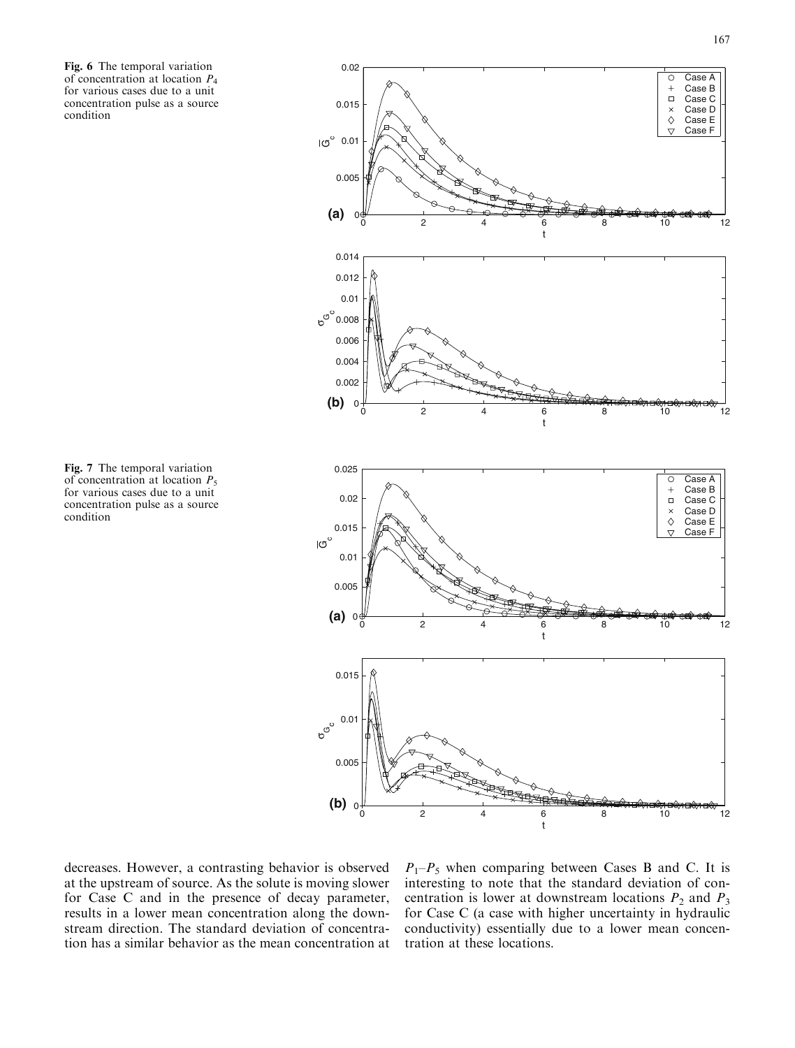Fig. 6 The temporal variation of concentration at location  $P_4$ for various cases due to a unit concentration pulse as a source condition





decreases. However, a contrasting behavior is observed at the upstream of source. As the solute is moving slower for Case C and in the presence of decay parameter, results in a lower mean concentration along the downstream direction. The standard deviation of concentration has a similar behavior as the mean concentration at

 $P_1-P_5$  when comparing between Cases B and C. It is interesting to note that the standard deviation of concentration is lower at downstream locations  $P_2$  and  $P_3$ for Case C (a case with higher uncertainty in hydraulic conductivity) essentially due to a lower mean concentration at these locations.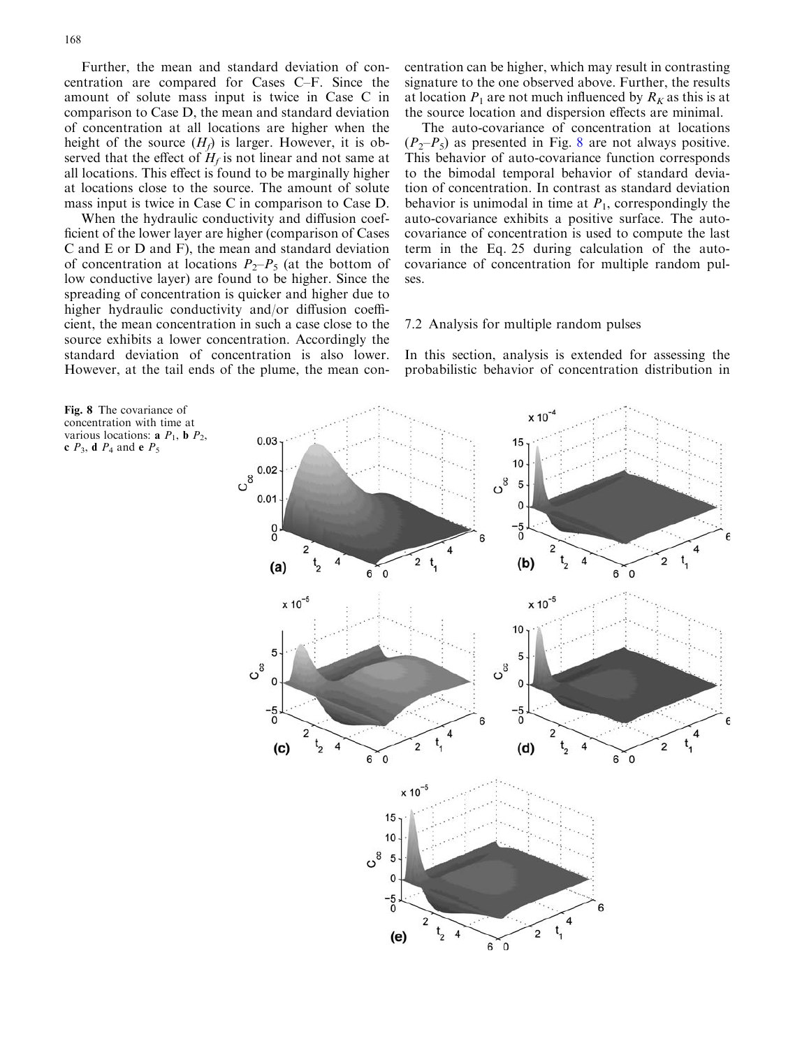Further, the mean and standard deviation of concentration are compared for Cases C–F. Since the amount of solute mass input is twice in Case C in comparison to Case D, the mean and standard deviation of concentration at all locations are higher when the height of the source  $(H_f)$  is larger. However, it is observed that the effect of  $H_f$  is not linear and not same at all locations. This effect is found to be marginally higher at locations close to the source. The amount of solute mass input is twice in Case C in comparison to Case D.

When the hydraulic conductivity and diffusion coefficient of the lower layer are higher (comparison of Cases C and E or D and F), the mean and standard deviation of concentration at locations  $P_2-P_5$  (at the bottom of low conductive layer) are found to be higher. Since the spreading of concentration is quicker and higher due to higher hydraulic conductivity and/or diffusion coefficient, the mean concentration in such a case close to the source exhibits a lower concentration. Accordingly the standard deviation of concentration is also lower. However, at the tail ends of the plume, the mean con-

Fig. 8 The covariance of concentration with time at various locations: **a**  $P_1$ , **b**  $P_2$ ,

**c**  $P_3$ , **d**  $P_4$  and **e**  $P_5$ 

centration can be higher, which may result in contrasting signature to the one observed above. Further, the results at location  $P_1$  are not much influenced by  $R_K$  as this is at the source location and dispersion effects are minimal.

The auto-covariance of concentration at locations  $(P_2-P_5)$  as presented in Fig. 8 are not always positive. This behavior of auto-covariance function corresponds to the bimodal temporal behavior of standard deviation of concentration. In contrast as standard deviation behavior is unimodal in time at  $P_1$ , correspondingly the auto-covariance exhibits a positive surface. The autocovariance of concentration is used to compute the last term in the Eq. 25 during calculation of the autocovariance of concentration for multiple random pulses.

#### 7.2 Analysis for multiple random pulses

In this section, analysis is extended for assessing the probabilistic behavior of concentration distribution in

 $x 10$  $0.03$ 15  $10$  $0.02$  $\mathsf{c}^\mathsf{g}$ Co 5  $0.01$  $\mathbf 0$  $\frac{5}{0}$  $\frac{0}{0}$  $\overline{c}$  $\overline{2}$  $(b)$  $(a)$  $6$ ່0 6  $\mathbf{0}$  $x 10^{-5}$  $x 10^{-5}$  $10$ 5 5  $c^8$ ပိ  $\mathbf 0$  $^{-5}_{0}$  $\frac{1}{0}$ 6  $\overline{a}$  $\overline{a}$  $\overline{2}$ 4  $\overline{c}$  $\overline{\mathbf{c}}$  $(c)$  $(d)$  $60$  $6^{\circ}$  $\overline{0}$  $x 10^{-5}$ 15 10 ပ္စီ 5  $\mathbf 0$ -5  $\overline{0}$  $\overline{2}$ 4  $t,$ 

 $(e)$ 

 $\overline{c}$ 

 $6 \overline{6}$ `o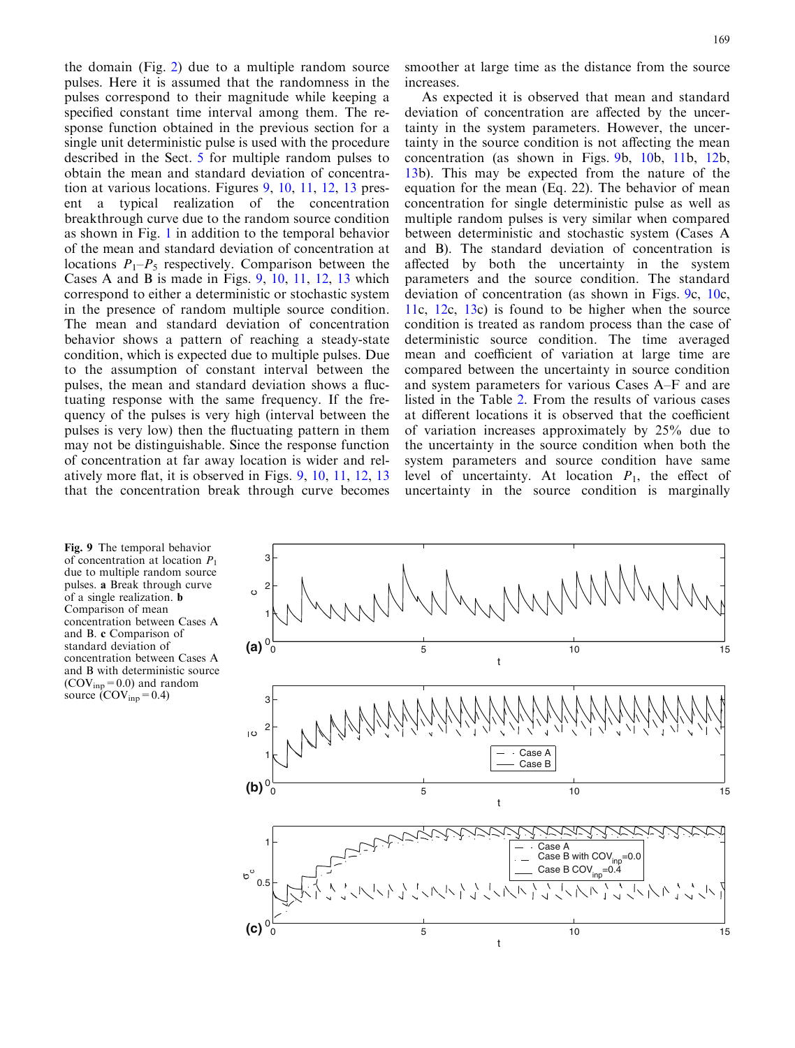the domain (Fig. 2) due to a multiple random source pulses. Here it is assumed that the randomness in the pulses correspond to their magnitude while keeping a specified constant time interval among them. The response function obtained in the previous section for a single unit deterministic pulse is used with the procedure described in the Sect. 5 for multiple random pulses to obtain the mean and standard deviation of concentration at various locations. Figures 9, 10, 11, 12, 13 present a typical realization of the concentration breakthrough curve due to the random source condition as shown in Fig. 1 in addition to the temporal behavior of the mean and standard deviation of concentration at locations  $P_1-P_5$  respectively. Comparison between the Cases A and B is made in Figs. 9, 10, 11, 12, 13 which correspond to either a deterministic or stochastic system in the presence of random multiple source condition. The mean and standard deviation of concentration behavior shows a pattern of reaching a steady-state condition, which is expected due to multiple pulses. Due to the assumption of constant interval between the pulses, the mean and standard deviation shows a fluctuating response with the same frequency. If the frequency of the pulses is very high (interval between the pulses is very low) then the fluctuating pattern in them may not be distinguishable. Since the response function of concentration at far away location is wider and relatively more flat, it is observed in Figs. 9, 10, 11, 12, 13 that the concentration break through curve becomes

smoother at large time as the distance from the source increases.

As expected it is observed that mean and standard deviation of concentration are affected by the uncertainty in the system parameters. However, the uncertainty in the source condition is not affecting the mean concentration (as shown in Figs. 9b, 10b, 11b, 12b, 13b). This may be expected from the nature of the equation for the mean (Eq. 22). The behavior of mean concentration for single deterministic pulse as well as multiple random pulses is very similar when compared between deterministic and stochastic system (Cases A and B). The standard deviation of concentration is affected by both the uncertainty in the system parameters and the source condition. The standard deviation of concentration (as shown in Figs. 9c, 10c, 11c, 12c, 13c) is found to be higher when the source condition is treated as random process than the case of deterministic source condition. The time averaged mean and coefficient of variation at large time are compared between the uncertainty in source condition and system parameters for various Cases A–F and are listed in the Table 2. From the results of various cases at different locations it is observed that the coefficient of variation increases approximately by 25% due to the uncertainty in the source condition when both the system parameters and source condition have same level of uncertainty. At location  $P_1$ , the effect of uncertainty in the source condition is marginally

Fig. 9 The temporal behavior of concentration at location  $P_1$ due to multiple random source pulses. a Break through curve of a single realization. b Comparison of mean concentration between Cases A and B. c Comparison of standard deviation of concentration between Cases A and B with deterministic source  $(COV<sub>inp</sub> = 0.0)$  and random source  $(COV<sub>inp</sub> = 0.4)$ 

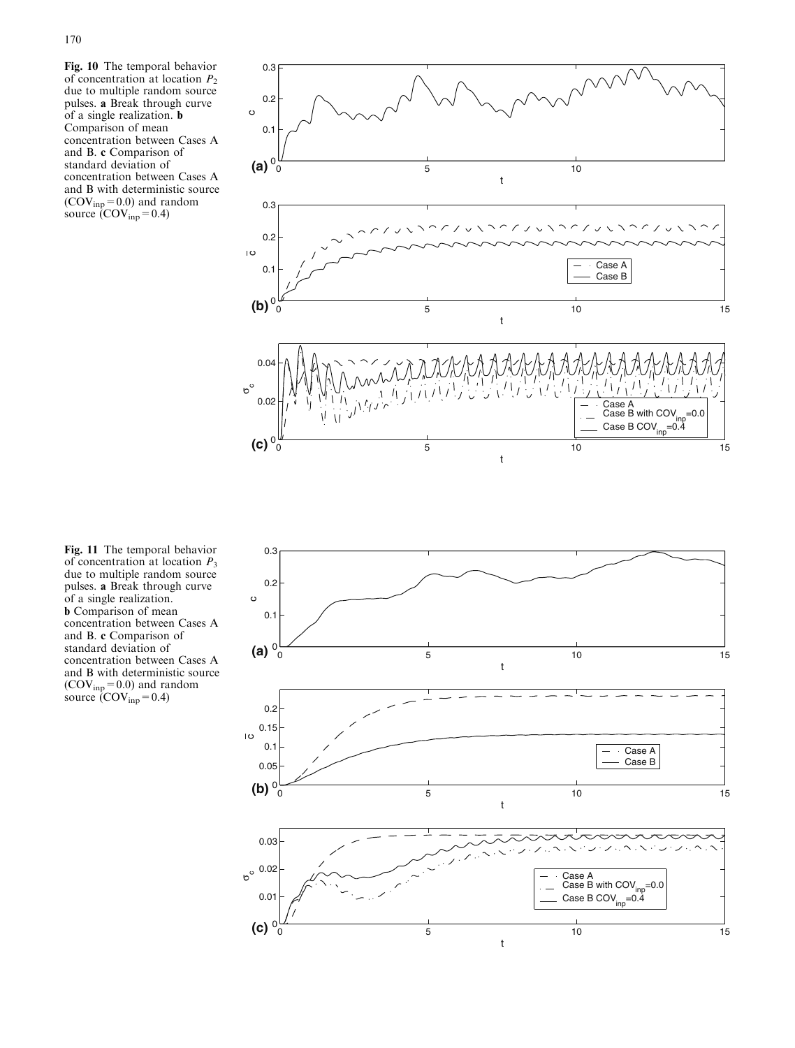170

Fig. 10 The temporal behavior of concentration at location  $P_2$ due to multiple random source pulses. a Break through curve of a single realization. b Comparison of mean concentration between Cases A and B. c Comparison of standard deviation of concentration between Cases A and B with deterministic source  $(COV<sub>inp</sub> = 0.0)$  and random source  $(COV<sub>inp</sub> = 0.4)$ 





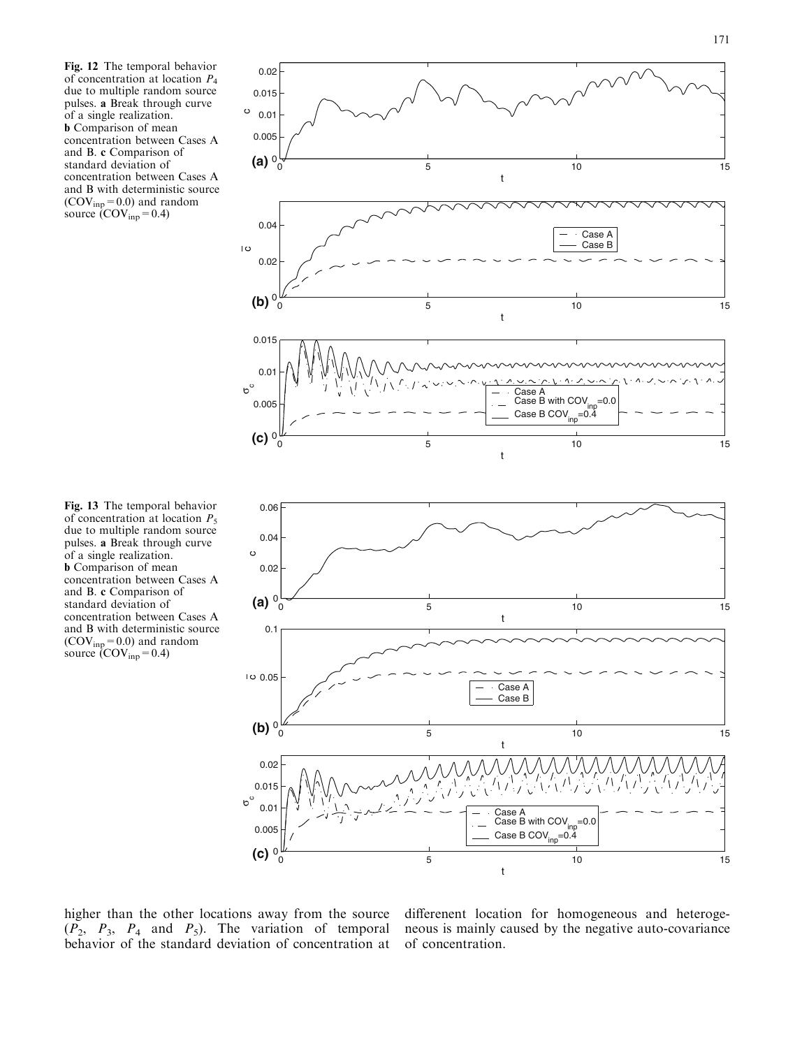Fig. 12 The temporal behavior of concentration at location  $P_4$ due to multiple random source pulses. a Break through curve of a single realization. b Comparison of mean concentration between Cases A and B. c Comparison of standard deviation of concentration between Cases A and B with deterministic source  $(COV<sub>inp</sub> = 0.0)$  and random source  $(COV<sub>inp</sub> = 0.4)$ 



Fig. 13 The temporal behavior of concentration at location  $P_5$ due to multiple random source pulses. a Break through curve of a single realization. b Comparison of mean concentration between Cases A and B. c Comparison of standard deviation of concentration between Cases A and B with deterministic source  $(COV<sub>inp</sub> = 0.0)$  and random source  $(COV<sub>inp</sub> = 0.4)$ 



higher than the other locations away from the source  $(P_2, P_3, P_4$  and  $P_5$ ). The variation of temporal behavior of the standard deviation of concentration at

differenent location for homogeneous and heterogeneous is mainly caused by the negative auto-covariance of concentration.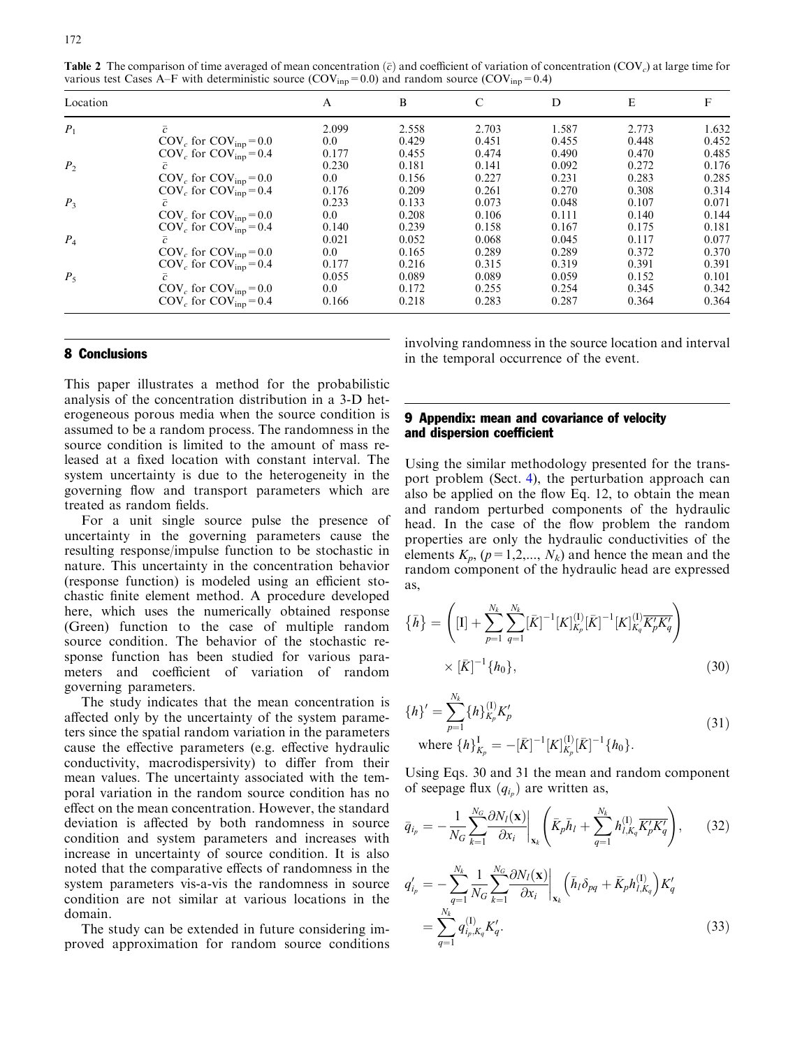| Location       |                               | A     | B     | C     | D     | E     | F     |
|----------------|-------------------------------|-------|-------|-------|-------|-------|-------|
| $P_1$          | $\bar{c}$                     | 2.099 | 2.558 | 2.703 | 1.587 | 2.773 | 1.632 |
|                | $COV_c$ for $COV_{inp} = 0.0$ | 0.0   | 0.429 | 0.451 | 0.455 | 0.448 | 0.452 |
|                | $COV_c$ for $COV_{inp} = 0.4$ | 0.177 | 0.455 | 0.474 | 0.490 | 0.470 | 0.485 |
| P <sub>2</sub> | $\bar{c}$                     | 0.230 | 0.181 | 0.141 | 0.092 | 0.272 | 0.176 |
|                | $COV_c$ for $COV_{inp} = 0.0$ | 0.0   | 0.156 | 0.227 | 0.231 | 0.283 | 0.285 |
|                | $COV_c$ for $COV_{inp} = 0.4$ | 0.176 | 0.209 | 0.261 | 0.270 | 0.308 | 0.314 |
| $P_3$          | $\bar{c}$                     | 0.233 | 0.133 | 0.073 | 0.048 | 0.107 | 0.071 |
|                | $COV_c$ for $COV_{inp} = 0.0$ | 0.0   | 0.208 | 0.106 | 0.111 | 0.140 | 0.144 |
|                | $COV_c$ for $COV_{inp} = 0.4$ | 0.140 | 0.239 | 0.158 | 0.167 | 0.175 | 0.181 |
| $P_4$          |                               | 0.021 | 0.052 | 0.068 | 0.045 | 0.117 | 0.077 |
|                | $COV_c$ for $COV_{inp} = 0.0$ | 0.0   | 0.165 | 0.289 | 0.289 | 0.372 | 0.370 |
|                | $COV_c$ for $COV_{inp} = 0.4$ | 0.177 | 0.216 | 0.315 | 0.319 | 0.391 | 0.391 |
| $P_5$          |                               | 0.055 | 0.089 | 0.089 | 0.059 | 0.152 | 0.101 |
|                | $COV_c$ for $COV_{inp} = 0.0$ | 0.0   | 0.172 | 0.255 | 0.254 | 0.345 | 0.342 |
|                | $COV_c$ for $COV_{inp} = 0.4$ | 0.166 | 0.218 | 0.283 | 0.287 | 0.364 | 0.364 |

**Table 2** The comparison of time averaged of mean concentration ( $\bar{c}$ ) and coefficient of variation of concentration (COV<sub>c</sub>) at large time for various test Cases A–F with deterministic source ( $COV_{\text{inp}}=0.0$ ) and random source ( $COV_{\text{inp}}=0.4$ )

#### 8 Conclusions

This paper illustrates a method for the probabilistic analysis of the concentration distribution in a 3-D heterogeneous porous media when the source condition is assumed to be a random process. The randomness in the source condition is limited to the amount of mass released at a fixed location with constant interval. The system uncertainty is due to the heterogeneity in the governing flow and transport parameters which are treated as random fields.

For a unit single source pulse the presence of uncertainty in the governing parameters cause the resulting response/impulse function to be stochastic in nature. This uncertainty in the concentration behavior (response function) is modeled using an efficient stochastic finite element method. A procedure developed here, which uses the numerically obtained response (Green) function to the case of multiple random source condition. The behavior of the stochastic response function has been studied for various parameters and coefficient of variation of random governing parameters.

The study indicates that the mean concentration is affected only by the uncertainty of the system parameters since the spatial random variation in the parameters cause the effective parameters (e.g. effective hydraulic conductivity, macrodispersivity) to differ from their mean values. The uncertainty associated with the temporal variation in the random source condition has no effect on the mean concentration. However, the standard deviation is affected by both randomness in source condition and system parameters and increases with increase in uncertainty of source condition. It is also noted that the comparative effects of randomness in the system parameters vis-a-vis the randomness in source condition are not similar at various locations in the domain.

The study can be extended in future considering improved approximation for random source conditions involving randomness in the source location and interval in the temporal occurrence of the event.

## 9 Appendix: mean and covariance of velocity and dispersion coefficient

Using the similar methodology presented for the transport problem (Sect. 4), the perturbation approach can also be applied on the flow Eq. 12, to obtain the mean and random perturbed components of the hydraulic head. In the case of the flow problem the random properties are only the hydraulic conductivities of the elements  $K_p$ ,  $(p=1,2,..., N_k)$  and hence the mean and the random component of the hydraulic head are expressed as,

$$
\{\bar{h}\} = \left( [\mathbf{I}] + \sum_{p=1}^{N_k} \sum_{q=1}^{N_k} [\bar{K}]^{-1} [K]_{K_p}^{(1)} [\bar{K}]^{-1} [K]_{K_q}^{(1)} \overline{K_p' K_q'} \right) \times [\bar{K}]^{-1} \{h_0\},
$$
\n(30)

$$
\{h\}' = \sum_{p=1}^{N_k} \{h\}_{K_p}^{(1)} K'_p
$$
  
where  $\{h\}_{K_p}^{I} = -[\bar{K}]^{-1} [K]_{K_p}^{(1)} [\bar{K}]^{-1} \{h_0\}.$  (31)

Using Eqs. 30 and 31 the mean and random component of seepage flux  $(q_{i_p})$  are written as,

$$
\bar{q}_{i_p} = -\frac{1}{N_G} \sum_{k=1}^{N_G} \frac{\partial N_l(\mathbf{x})}{\partial x_i} \bigg|_{\mathbf{x}_k} \left( \bar{K}_p \bar{h}_l + \sum_{q=1}^{N_k} h_{l,K_q}^{(1)} \overline{K'_p K'_q} \right), \qquad (32)
$$

$$
q'_{i_p} = -\sum_{q=1}^{N_k} \frac{1}{N_G} \sum_{k=1}^{N_G} \frac{\partial N_l(\mathbf{x})}{\partial x_i} \bigg|_{\mathbf{x}_k} \left( \bar{h}_l \delta_{pq} + \bar{K}_p h_{l,K_q}^{(1)} \right) K'_q
$$
  
= 
$$
\sum_{q=1}^{N_k} q_{i_p,K_q}^{(1)} K'_q.
$$
 (33)